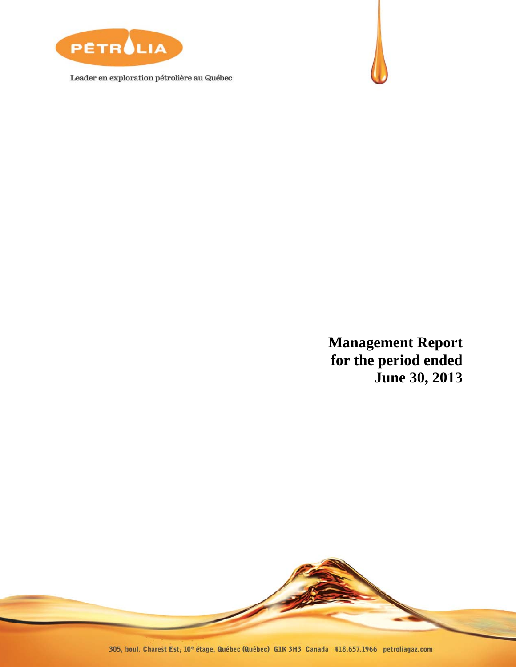

Leader en exploration pétrolière au Québec



**Management Report for the period ended June 30, 2013** 

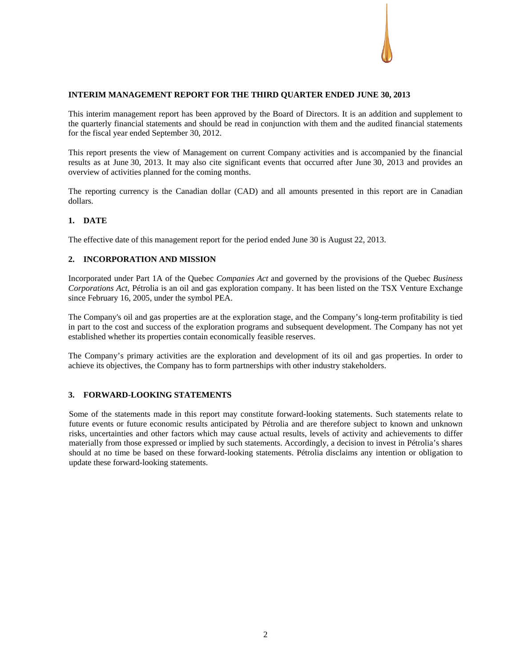# **INTERIM MANAGEMENT REPORT FOR THE THIRD QUARTER ENDED JUNE 30, 2013**

This interim management report has been approved by the Board of Directors. It is an addition and supplement to the quarterly financial statements and should be read in conjunction with them and the audited financial statements for the fiscal year ended September 30, 2012.

This report presents the view of Management on current Company activities and is accompanied by the financial results as at June 30, 2013. It may also cite significant events that occurred after June 30, 2013 and provides an overview of activities planned for the coming months.

The reporting currency is the Canadian dollar (CAD) and all amounts presented in this report are in Canadian dollars.

# **1. DATE**

The effective date of this management report for the period ended June 30 is August 22, 2013.

# **2. INCORPORATION AND MISSION**

Incorporated under Part 1A of the Quebec *Companies Act* and governed by the provisions of the Quebec *Business Corporations Act*, Pétrolia is an oil and gas exploration company. It has been listed on the TSX Venture Exchange since February 16, 2005, under the symbol PEA.

The Company's oil and gas properties are at the exploration stage, and the Company's long-term profitability is tied in part to the cost and success of the exploration programs and subsequent development. The Company has not yet established whether its properties contain economically feasible reserves.

The Company's primary activities are the exploration and development of its oil and gas properties. In order to achieve its objectives, the Company has to form partnerships with other industry stakeholders.

#### **3. FORWARD-LOOKING STATEMENTS**

Some of the statements made in this report may constitute forward-looking statements. Such statements relate to future events or future economic results anticipated by Pétrolia and are therefore subject to known and unknown risks, uncertainties and other factors which may cause actual results, levels of activity and achievements to differ materially from those expressed or implied by such statements. Accordingly, a decision to invest in Pétrolia's shares should at no time be based on these forward-looking statements. Pétrolia disclaims any intention or obligation to update these forward-looking statements.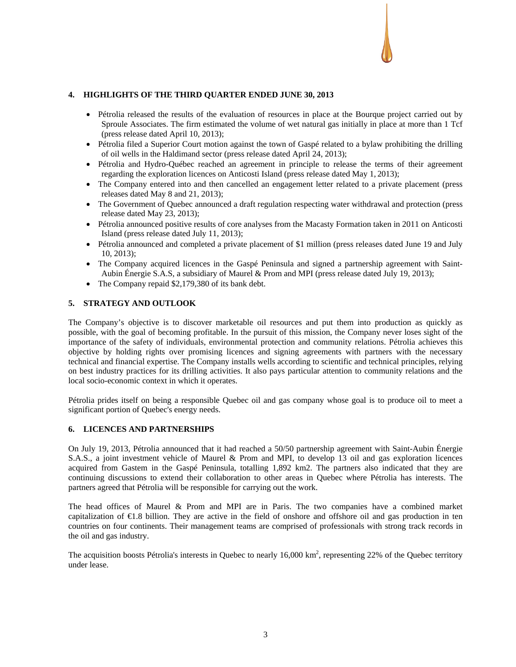# **4. HIGHLIGHTS OF THE THIRD QUARTER ENDED JUNE 30, 2013**

- Pétrolia released the results of the evaluation of resources in place at the Bourque project carried out by Sproule Associates. The firm estimated the volume of wet natural gas initially in place at more than 1 Tcf (press release dated April 10, 2013);
- Pétrolia filed a Superior Court motion against the town of Gaspé related to a bylaw prohibiting the drilling of oil wells in the Haldimand sector (press release dated April 24, 2013);
- Pétrolia and Hydro-Québec reached an agreement in principle to release the terms of their agreement regarding the exploration licences on Anticosti Island (press release dated May 1, 2013);
- The Company entered into and then cancelled an engagement letter related to a private placement (press releases dated May 8 and 21, 2013);
- The Government of Quebec announced a draft regulation respecting water withdrawal and protection (press release dated May 23, 2013);
- Pétrolia announced positive results of core analyses from the Macasty Formation taken in 2011 on Anticosti Island (press release dated July 11, 2013);
- Pétrolia announced and completed a private placement of \$1 million (press releases dated June 19 and July 10, 2013);
- The Company acquired licences in the Gaspé Peninsula and signed a partnership agreement with Saint-Aubin Énergie S.A.S, a subsidiary of Maurel & Prom and MPI (press release dated July 19, 2013);
- The Company repaid \$2,179,380 of its bank debt.

# **5. STRATEGY AND OUTLOOK**

The Company's objective is to discover marketable oil resources and put them into production as quickly as possible, with the goal of becoming profitable. In the pursuit of this mission, the Company never loses sight of the importance of the safety of individuals, environmental protection and community relations. Pétrolia achieves this objective by holding rights over promising licences and signing agreements with partners with the necessary technical and financial expertise. The Company installs wells according to scientific and technical principles, relying on best industry practices for its drilling activities. It also pays particular attention to community relations and the local socio-economic context in which it operates.

Pétrolia prides itself on being a responsible Quebec oil and gas company whose goal is to produce oil to meet a significant portion of Quebec's energy needs.

#### **6. LICENCES AND PARTNERSHIPS**

On July 19, 2013, Pétrolia announced that it had reached a 50/50 partnership agreement with Saint-Aubin Énergie S.A.S., a joint investment vehicle of Maurel & Prom and MPI, to develop 13 oil and gas exploration licences acquired from Gastem in the Gaspé Peninsula, totalling 1,892 km2. The partners also indicated that they are continuing discussions to extend their collaboration to other areas in Quebec where Pétrolia has interests. The partners agreed that Pétrolia will be responsible for carrying out the work.

The head offices of Maurel & Prom and MPI are in Paris. The two companies have a combined market capitalization of €1.8 billion. They are active in the field of onshore and offshore oil and gas production in ten countries on four continents. Their management teams are comprised of professionals with strong track records in the oil and gas industry.

The acquisition boosts Pétrolia's interests in Quebec to nearly  $16,000 \text{ km}^2$ , representing 22% of the Quebec territory under lease.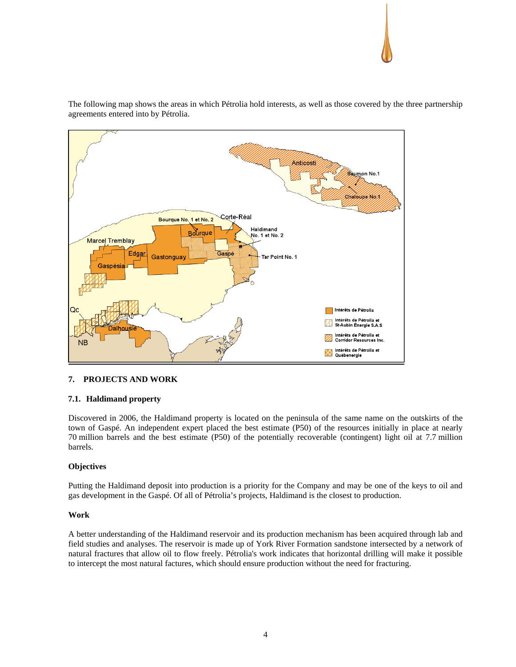

The following map shows the areas in which Pétrolia hold interests, as well as those covered by the three partnership agreements entered into by Pétrolia.

# **7. PROJECTS AND WORK**

# **7.1. Haldimand property**

Discovered in 2006, the Haldimand property is located on the peninsula of the same name on the outskirts of the town of Gaspé. An independent expert placed the best estimate (P50) of the resources initially in place at nearly 70 million barrels and the best estimate (P50) of the potentially recoverable (contingent) light oil at 7.7 million barrels.

# **Objectives**

Putting the Haldimand deposit into production is a priority for the Company and may be one of the keys to oil and gas development in the Gaspé. Of all of Pétrolia's projects, Haldimand is the closest to production.

#### **Work**

A better understanding of the Haldimand reservoir and its production mechanism has been acquired through lab and field studies and analyses. The reservoir is made up of York River Formation sandstone intersected by a network of natural fractures that allow oil to flow freely. Pétrolia's work indicates that horizontal drilling will make it possible to intercept the most natural factures, which should ensure production without the need for fracturing.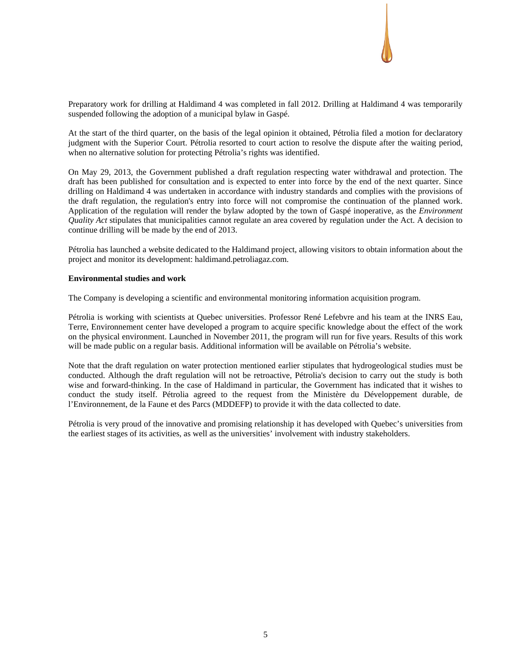

Preparatory work for drilling at Haldimand 4 was completed in fall 2012. Drilling at Haldimand 4 was temporarily suspended following the adoption of a municipal bylaw in Gaspé.

At the start of the third quarter, on the basis of the legal opinion it obtained, Pétrolia filed a motion for declaratory judgment with the Superior Court. Pétrolia resorted to court action to resolve the dispute after the waiting period, when no alternative solution for protecting Pétrolia's rights was identified.

On May 29, 2013, the Government published a draft regulation respecting water withdrawal and protection. The draft has been published for consultation and is expected to enter into force by the end of the next quarter. Since drilling on Haldimand 4 was undertaken in accordance with industry standards and complies with the provisions of the draft regulation, the regulation's entry into force will not compromise the continuation of the planned work. Application of the regulation will render the bylaw adopted by the town of Gaspé inoperative, as the *Environment Quality Act* stipulates that municipalities cannot regulate an area covered by regulation under the Act. A decision to continue drilling will be made by the end of 2013.

Pétrolia has launched a website dedicated to the Haldimand project, allowing visitors to obtain information about the project and monitor its development: haldimand.petroliagaz.com.

#### **Environmental studies and work**

The Company is developing a scientific and environmental monitoring information acquisition program.

Pétrolia is working with scientists at Quebec universities. Professor René Lefebvre and his team at the INRS Eau, Terre, Environnement center have developed a program to acquire specific knowledge about the effect of the work on the physical environment. Launched in November 2011, the program will run for five years. Results of this work will be made public on a regular basis. Additional information will be available on Pétrolia's website.

Note that the draft regulation on water protection mentioned earlier stipulates that hydrogeological studies must be conducted. Although the draft regulation will not be retroactive, Pétrolia's decision to carry out the study is both wise and forward-thinking. In the case of Haldimand in particular, the Government has indicated that it wishes to conduct the study itself. Pétrolia agreed to the request from the Ministère du Développement durable, de l'Environnement, de la Faune et des Parcs (MDDEFP) to provide it with the data collected to date.

Pétrolia is very proud of the innovative and promising relationship it has developed with Quebec's universities from the earliest stages of its activities, as well as the universities' involvement with industry stakeholders.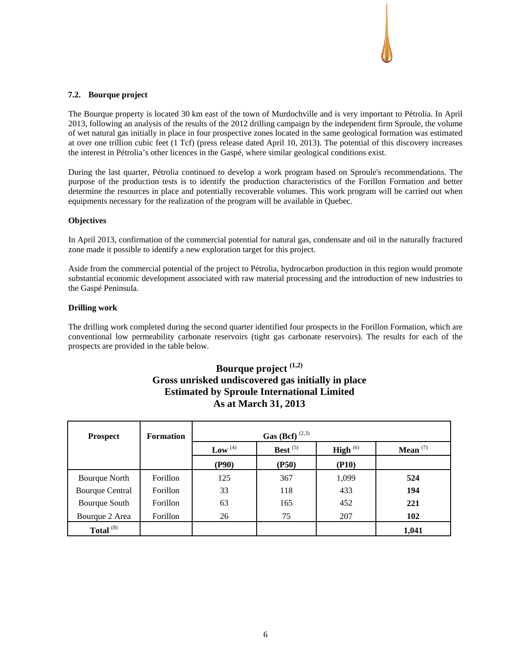#### **7.2. Bourque project**

The Bourque property is located 30 km east of the town of Murdochville and is very important to Pétrolia. In April 2013, following an analysis of the results of the 2012 drilling campaign by the independent firm Sproule, the volume of wet natural gas initially in place in four prospective zones located in the same geological formation was estimated at over one trillion cubic feet (1 Tcf) (press release dated April 10, 2013). The potential of this discovery increases the interest in Pétrolia's other licences in the Gaspé, where similar geological conditions exist.

During the last quarter, Pétrolia continued to develop a work program based on Sproule's recommendations. The purpose of the production tests is to identify the production characteristics of the Forillon Formation and better determine the resources in place and potentially recoverable volumes. This work program will be carried out when equipments necessary for the realization of the program will be available in Quebec.

#### **Objectives**

In April 2013, confirmation of the commercial potential for natural gas, condensate and oil in the naturally fractured zone made it possible to identify a new exploration target for this project.

Aside from the commercial potential of the project to Pétrolia, hydrocarbon production in this region would promote substantial economic development associated with raw material processing and the introduction of new industries to the Gaspé Peninsula.

#### **Drilling work**

The drilling work completed during the second quarter identified four prospects in the Forillon Formation, which are conventional low permeability carbonate reservoirs (tight gas carbonate reservoirs). The results for each of the prospects are provided in the table below.

# **Bourque project (1,2) Gross unrisked undiscovered gas initially in place Estimated by Sproule International Limited As at March 31, 2013**

| <b>Prospect</b>        | <b>Formation</b> | <b>Gas</b> (Bcf) <sup>(2,3)</sup> |            |                      |            |  |  |  |
|------------------------|------------------|-----------------------------------|------------|----------------------|------------|--|--|--|
|                        |                  | Low $(4)$                         | Best $(5)$ | <b>High</b> $^{(6)}$ | Mean $(7)$ |  |  |  |
|                        |                  | (P90)                             | (P50)      | (P10)                |            |  |  |  |
| Bourque North          | Forillon         | 125                               | 367        | 1,099                | 524        |  |  |  |
| <b>Bourque Central</b> | Forillon         | 33                                | 118        | 433                  | 194        |  |  |  |
| Bourque South          | Forillon         | 63                                | 165        | 452                  | 221        |  |  |  |
| Bourque 2 Area         | Forillon         | 26                                | 75         | 207                  | 102        |  |  |  |
| Total $(8)$            |                  |                                   |            |                      | 1,041      |  |  |  |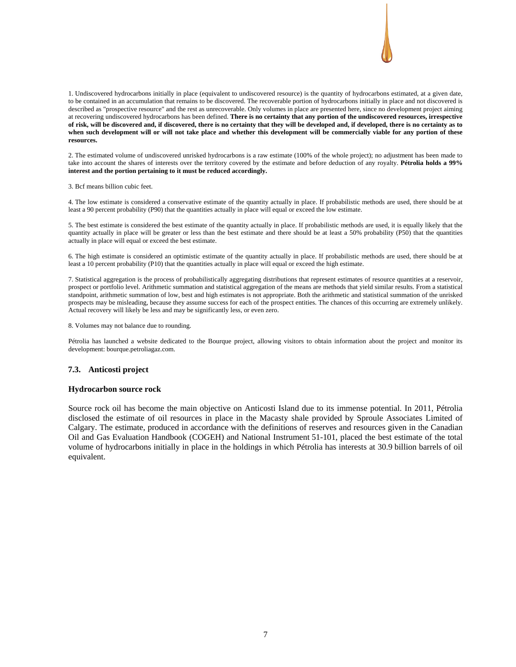

1. Undiscovered hydrocarbons initially in place (equivalent to undiscovered resource) is the quantity of hydrocarbons estimated, at a given date, to be contained in an accumulation that remains to be discovered. The recoverable portion of hydrocarbons initially in place and not discovered is described as "prospective resource" and the rest as unrecoverable. Only volumes in place are presented here, since no development project aiming at recovering undiscovered hydrocarbons has been defined. **There is no certainty that any portion of the undiscovered resources, irrespective of risk, will be discovered and, if discovered, there is no certainty that they will be developed and, if developed, there is no certainty as to when such development will or will not take place and whether this development will be commercially viable for any portion of these resources.** 

2. The estimated volume of undiscovered unrisked hydrocarbons is a raw estimate (100% of the whole project); no adjustment has been made to take into account the shares of interests over the territory covered by the estimate and before deduction of any royalty. **Pétrolia holds a 99% interest and the portion pertaining to it must be reduced accordingly.** 

3. Bcf means billion cubic feet.

4. The low estimate is considered a conservative estimate of the quantity actually in place. If probabilistic methods are used, there should be at least a 90 percent probability (P90) that the quantities actually in place will equal or exceed the low estimate.

5. The best estimate is considered the best estimate of the quantity actually in place. If probabilistic methods are used, it is equally likely that the quantity actually in place will be greater or less than the best estimate and there should be at least a 50% probability (P50) that the quantities actually in place will equal or exceed the best estimate.

6. The high estimate is considered an optimistic estimate of the quantity actually in place. If probabilistic methods are used, there should be at least a 10 percent probability (P10) that the quantities actually in place will equal or exceed the high estimate.

7. Statistical aggregation is the process of probabilistically aggregating distributions that represent estimates of resource quantities at a reservoir, prospect or portfolio level. Arithmetic summation and statistical aggregation of the means are methods that yield similar results. From a statistical standpoint, arithmetic summation of low, best and high estimates is not appropriate. Both the arithmetic and statistical summation of the unrisked prospects may be misleading, because they assume success for each of the prospect entities. The chances of this occurring are extremely unlikely. Actual recovery will likely be less and may be significantly less, or even zero.

8. Volumes may not balance due to rounding.

Pétrolia has launched a website dedicated to the Bourque project, allowing visitors to obtain information about the project and monitor its development: bourque.petroliagaz.com.

#### **7.3. Anticosti project**

#### **Hydrocarbon source rock**

Source rock oil has become the main objective on Anticosti Island due to its immense potential. In 2011, Pétrolia disclosed the estimate of oil resources in place in the Macasty shale provided by Sproule Associates Limited of Calgary. The estimate, produced in accordance with the definitions of reserves and resources given in the Canadian Oil and Gas Evaluation Handbook (COGEH) and National Instrument 51-101, placed the best estimate of the total volume of hydrocarbons initially in place in the holdings in which Pétrolia has interests at 30.9 billion barrels of oil equivalent.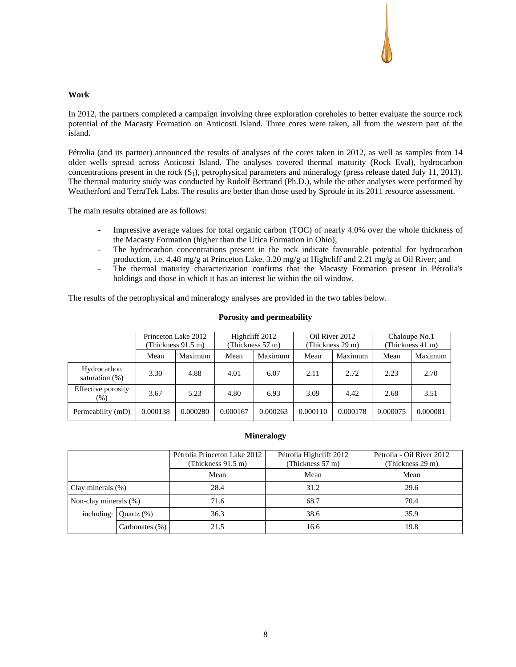#### **Work**

In 2012, the partners completed a campaign involving three exploration coreholes to better evaluate the source rock potential of the Macasty Formation on Anticosti Island. Three cores were taken, all from the western part of the island.

Pétrolia (and its partner) announced the results of analyses of the cores taken in 2012, as well as samples from 14 older wells spread across Anticosti Island. The analyses covered thermal maturity (Rock Eval), hydrocarbon concentrations present in the rock  $(S_1)$ , petrophysical parameters and mineralogy (press release dated July 11, 2013). The thermal maturity study was conducted by Rudolf Bertrand (Ph.D.), while the other analyses were performed by Weatherford and TerraTek Labs. The results are better than those used by Sproule in its 2011 resource assessment.

The main results obtained are as follows:

- Impressive average values for total organic carbon (TOC) of nearly 4.0% over the whole thickness of the Macasty Formation (higher than the Utica Formation in Ohio);
- The hydrocarbon concentrations present in the rock indicate favourable potential for hydrocarbon production, i.e. 4.48 mg/g at Princeton Lake, 3.20 mg/g at Highcliff and 2.21 mg/g at Oil River; and
- The thermal maturity characterization confirms that the Macasty Formation present in Pétrolia's holdings and those in which it has an interest lie within the oil window.

The results of the petrophysical and mineralogy analyses are provided in the two tables below.

|                               | Princeton Lake 2012<br>(Thickness 91.5 m) |          | Highcliff 2012<br>(Thickness 57 m) |          | Oil River 2012<br>(Thickness 29 m) |          | Chaloupe No.1<br>(Thickness 41 m) |          |
|-------------------------------|-------------------------------------------|----------|------------------------------------|----------|------------------------------------|----------|-----------------------------------|----------|
|                               | Mean                                      | Maximum  | Mean                               | Maximum  | Mean                               | Maximum  | Mean                              | Maximum  |
| Hydrocarbon<br>saturation (%) | 3.30                                      | 4.88     | 4.01                               | 6.07     | 2.11                               | 2.72     | 2.23                              | 2.70     |
| Effective porosity<br>$(\%)$  | 3.67                                      | 5.23     | 4.80                               | 6.93     | 3.09                               | 4.42     | 2.68                              | 3.51     |
| Permeability (mD)             | 0.000138                                  | 0.000280 | 0.000167                           | 0.000263 | 0.000110                           | 0.000178 | 0.000075                          | 0.000081 |

# **Porosity and permeability**

#### **Mineralogy**

|                       |                   | Pétrolia Princeton Lake 2012<br>(Thickness 91.5 m) | Pétrolia Highcliff 2012<br>(Thickness 57 m) | Pétrolia - Oil River 2012<br>(Thickness 29 m) |
|-----------------------|-------------------|----------------------------------------------------|---------------------------------------------|-----------------------------------------------|
|                       |                   | Mean                                               | Mean                                        | Mean                                          |
| Clay minerals $(\%)$  |                   | 28.4                                               | 31.2                                        | 29.6                                          |
| Non-clay minerals (%) |                   | 71.6                                               | 68.7                                        | 70.4                                          |
| including:            | Ouartz $(\%)$     | 36.3                                               | 38.6                                        | 35.9                                          |
|                       | Carbonates $(\%)$ | 21.5                                               | 16.6                                        | 19.8                                          |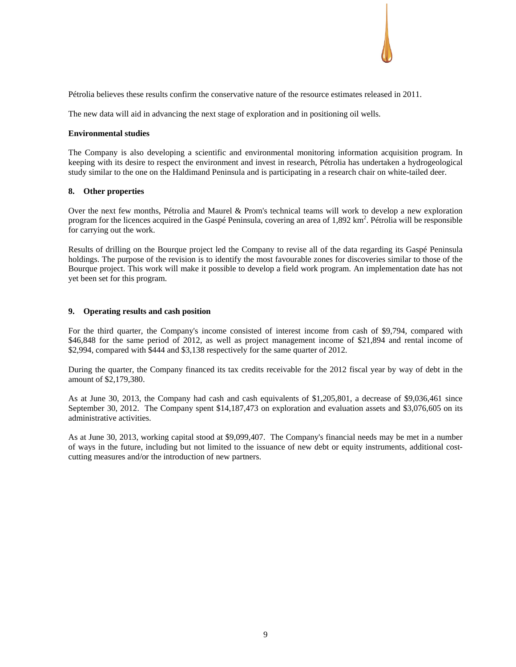Pétrolia believes these results confirm the conservative nature of the resource estimates released in 2011.

The new data will aid in advancing the next stage of exploration and in positioning oil wells.

#### **Environmental studies**

The Company is also developing a scientific and environmental monitoring information acquisition program. In keeping with its desire to respect the environment and invest in research, Pétrolia has undertaken a hydrogeological study similar to the one on the Haldimand Peninsula and is participating in a research chair on white-tailed deer.

#### **8. Other properties**

Over the next few months, Pétrolia and Maurel & Prom's technical teams will work to develop a new exploration program for the licences acquired in the Gaspé Peninsula, covering an area of 1,892 km<sup>2</sup>. Pétrolia will be responsible for carrying out the work.

Results of drilling on the Bourque project led the Company to revise all of the data regarding its Gaspé Peninsula holdings. The purpose of the revision is to identify the most favourable zones for discoveries similar to those of the Bourque project. This work will make it possible to develop a field work program. An implementation date has not yet been set for this program.

#### **9. Operating results and cash position**

For the third quarter, the Company's income consisted of interest income from cash of \$9,794, compared with \$46,848 for the same period of 2012, as well as project management income of \$21,894 and rental income of \$2,994, compared with \$444 and \$3,138 respectively for the same quarter of 2012.

During the quarter, the Company financed its tax credits receivable for the 2012 fiscal year by way of debt in the amount of \$2,179,380.

As at June 30, 2013, the Company had cash and cash equivalents of \$1,205,801, a decrease of \$9,036,461 since September 30, 2012. The Company spent \$14,187,473 on exploration and evaluation assets and \$3,076,605 on its administrative activities.

As at June 30, 2013, working capital stood at \$9,099,407. The Company's financial needs may be met in a number of ways in the future, including but not limited to the issuance of new debt or equity instruments, additional costcutting measures and/or the introduction of new partners.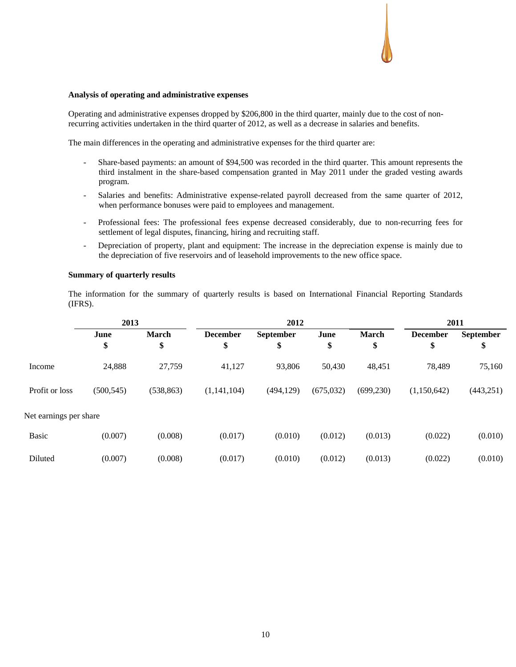#### **Analysis of operating and administrative expenses**

Operating and administrative expenses dropped by \$206,800 in the third quarter, mainly due to the cost of nonrecurring activities undertaken in the third quarter of 2012, as well as a decrease in salaries and benefits.

The main differences in the operating and administrative expenses for the third quarter are:

- Share-based payments: an amount of \$94,500 was recorded in the third quarter. This amount represents the third instalment in the share-based compensation granted in May 2011 under the graded vesting awards program.
- Salaries and benefits: Administrative expense-related payroll decreased from the same quarter of 2012, when performance bonuses were paid to employees and management.
- Professional fees: The professional fees expense decreased considerably, due to non-recurring fees for settlement of legal disputes, financing, hiring and recruiting staff.
- Depreciation of property, plant and equipment: The increase in the depreciation expense is mainly due to the depreciation of five reservoirs and of leasehold improvements to the new office space.

#### **Summary of quarterly results**

The information for the summary of quarterly results is based on International Financial Reporting Standards (IFRS).

|                        | 2013                                    |            | 2012        |                  |            |              | 2011            |                  |  |
|------------------------|-----------------------------------------|------------|-------------|------------------|------------|--------------|-----------------|------------------|--|
|                        | <b>March</b><br>June<br><b>December</b> |            |             | <b>September</b> | June       | <b>March</b> | <b>December</b> | <b>September</b> |  |
|                        | \$                                      | \$         | \$          | \$               | \$         | \$           | \$              | \$               |  |
| Income                 | 24,888                                  | 27,759     | 41,127      | 93,806           | 50,430     | 48,451       | 78,489          | 75,160           |  |
| Profit or loss         | (500, 545)                              | (538, 863) | (1,141,104) | (494, 129)       | (675, 032) | (699, 230)   | (1,150,642)     | (443, 251)       |  |
| Net earnings per share |                                         |            |             |                  |            |              |                 |                  |  |
| <b>Basic</b>           | (0.007)                                 | (0.008)    | (0.017)     | (0.010)          | (0.012)    | (0.013)      | (0.022)         | (0.010)          |  |
| Diluted                | (0.007)                                 | (0.008)    | (0.017)     | (0.010)          | (0.012)    | (0.013)      | (0.022)         | (0.010)          |  |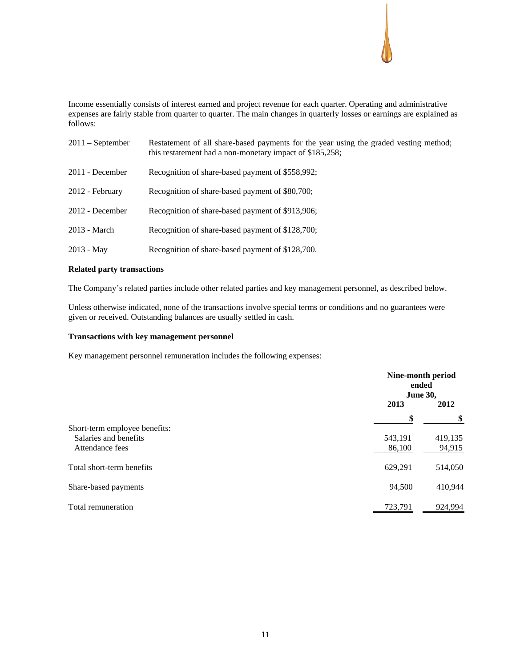Income essentially consists of interest earned and project revenue for each quarter. Operating and administrative expenses are fairly stable from quarter to quarter. The main changes in quarterly losses or earnings are explained as follows:

| $2011 -$ September | Restatement of all share-based payments for the year using the graded vesting method;<br>this restatement had a non-monetary impact of \$185,258; |
|--------------------|---------------------------------------------------------------------------------------------------------------------------------------------------|
| 2011 - December    | Recognition of share-based payment of \$558,992;                                                                                                  |
| 2012 - February    | Recognition of share-based payment of \$80,700;                                                                                                   |
| 2012 - December    | Recognition of share-based payment of \$913,906;                                                                                                  |
| 2013 - March       | Recognition of share-based payment of \$128,700;                                                                                                  |
| $2013 - May$       | Recognition of share-based payment of \$128,700.                                                                                                  |

# **Related party transactions**

The Company's related parties include other related parties and key management personnel, as described below.

Unless otherwise indicated, none of the transactions involve special terms or conditions and no guarantees were given or received. Outstanding balances are usually settled in cash.

# **Transactions with key management personnel**

Key management personnel remuneration includes the following expenses:

|                               | Nine-month period<br>ended<br><b>June 30,</b> |         |
|-------------------------------|-----------------------------------------------|---------|
|                               | 2013                                          | 2012    |
|                               | \$                                            | \$      |
| Short-term employee benefits: |                                               |         |
| Salaries and benefits         | 543,191                                       | 419,135 |
| Attendance fees               | 86,100                                        | 94,915  |
| Total short-term benefits     | 629,291                                       | 514,050 |
| Share-based payments          | 94,500                                        | 410,944 |
| Total remuneration            | 723,791                                       | 924,994 |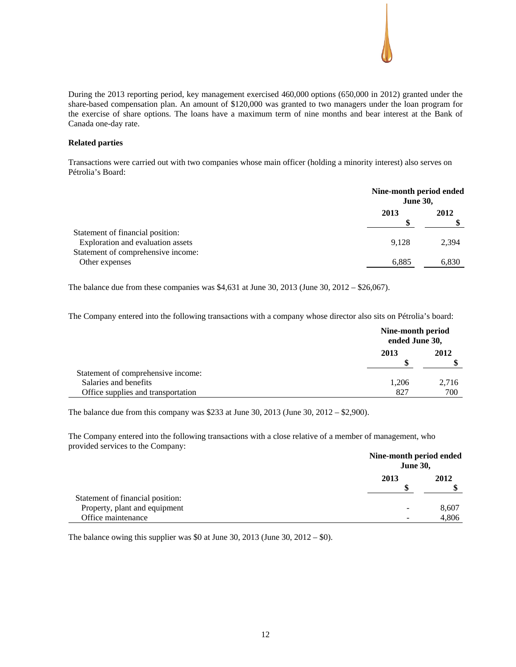During the 2013 reporting period, key management exercised 460,000 options (650,000 in 2012) granted under the share-based compensation plan. An amount of \$120,000 was granted to two managers under the loan program for the exercise of share options. The loans have a maximum term of nine months and bear interest at the Bank of Canada one-day rate.

# **Related parties**

Transactions were carried out with two companies whose main officer (holding a minority interest) also serves on Pétrolia's Board:

|                                                                       | Nine-month period ended<br><b>June 30,</b> |       |
|-----------------------------------------------------------------------|--------------------------------------------|-------|
|                                                                       | 2013                                       | 2012  |
| Statement of financial position:<br>Exploration and evaluation assets | 9.128                                      | 2.394 |
| Statement of comprehensive income:<br>Other expenses                  | 6,885                                      | 6,830 |

The balance due from these companies was \$4,631 at June 30, 2013 (June 30, 2012 – \$26,067).

The Company entered into the following transactions with a company whose director also sits on Pétrolia's board:

|                                    | Nine-month period<br>ended June 30, |       |
|------------------------------------|-------------------------------------|-------|
|                                    | 2013                                | 2012  |
| Statement of comprehensive income: |                                     |       |
| Salaries and benefits              | 1.206                               | 2,716 |
| Office supplies and transportation | 827                                 | 700   |

The balance due from this company was \$233 at June 30, 2013 (June 30, 2012 – \$2,900).

The Company entered into the following transactions with a close relative of a member of management, who provided services to the Company:

|                                  | Nine-month period ended<br><b>June 30,</b> |       |
|----------------------------------|--------------------------------------------|-------|
|                                  | 2013                                       | 2012  |
| Statement of financial position: |                                            |       |
| Property, plant and equipment    | $\overline{\phantom{0}}$                   | 8,607 |
| Office maintenance               |                                            | 4.806 |

The balance owing this supplier was \$0 at June 30, 2013 (June 30, 2012 – \$0).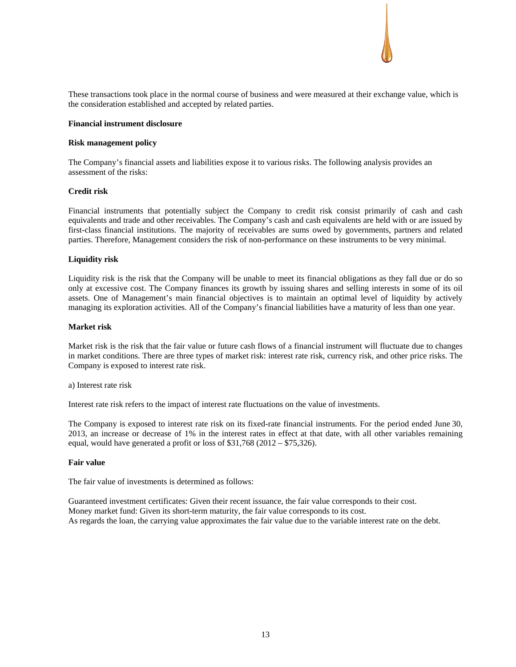

#### **Financial instrument disclosure**

#### **Risk management policy**

The Company's financial assets and liabilities expose it to various risks. The following analysis provides an assessment of the risks:

#### **Credit risk**

Financial instruments that potentially subject the Company to credit risk consist primarily of cash and cash equivalents and trade and other receivables. The Company's cash and cash equivalents are held with or are issued by first-class financial institutions. The majority of receivables are sums owed by governments, partners and related parties. Therefore, Management considers the risk of non-performance on these instruments to be very minimal.

#### **Liquidity risk**

Liquidity risk is the risk that the Company will be unable to meet its financial obligations as they fall due or do so only at excessive cost. The Company finances its growth by issuing shares and selling interests in some of its oil assets. One of Management's main financial objectives is to maintain an optimal level of liquidity by actively managing its exploration activities. All of the Company's financial liabilities have a maturity of less than one year.

#### **Market risk**

Market risk is the risk that the fair value or future cash flows of a financial instrument will fluctuate due to changes in market conditions. There are three types of market risk: interest rate risk, currency risk, and other price risks. The Company is exposed to interest rate risk.

a) Interest rate risk

Interest rate risk refers to the impact of interest rate fluctuations on the value of investments.

The Company is exposed to interest rate risk on its fixed-rate financial instruments. For the period ended June 30, 2013, an increase or decrease of 1% in the interest rates in effect at that date, with all other variables remaining equal, would have generated a profit or loss of \$31,768 (2012 – \$75,326).

#### **Fair value**

The fair value of investments is determined as follows:

Guaranteed investment certificates: Given their recent issuance, the fair value corresponds to their cost. Money market fund: Given its short-term maturity, the fair value corresponds to its cost. As regards the loan, the carrying value approximates the fair value due to the variable interest rate on the debt.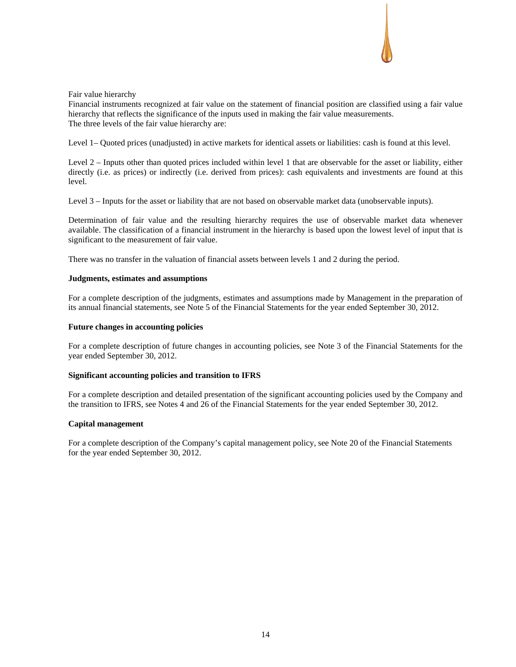

# Fair value hierarchy

Financial instruments recognized at fair value on the statement of financial position are classified using a fair value hierarchy that reflects the significance of the inputs used in making the fair value measurements. The three levels of the fair value hierarchy are:

Level 1– Quoted prices (unadjusted) in active markets for identical assets or liabilities: cash is found at this level.

Level 2 – Inputs other than quoted prices included within level 1 that are observable for the asset or liability, either directly (i.e. as prices) or indirectly (i.e. derived from prices): cash equivalents and investments are found at this level.

Level 3 – Inputs for the asset or liability that are not based on observable market data (unobservable inputs).

Determination of fair value and the resulting hierarchy requires the use of observable market data whenever available. The classification of a financial instrument in the hierarchy is based upon the lowest level of input that is significant to the measurement of fair value.

There was no transfer in the valuation of financial assets between levels 1 and 2 during the period.

#### **Judgments, estimates and assumptions**

For a complete description of the judgments, estimates and assumptions made by Management in the preparation of its annual financial statements, see Note 5 of the Financial Statements for the year ended September 30, 2012.

# **Future changes in accounting policies**

For a complete description of future changes in accounting policies, see Note 3 of the Financial Statements for the year ended September 30, 2012.

# **Significant accounting policies and transition to IFRS**

For a complete description and detailed presentation of the significant accounting policies used by the Company and the transition to IFRS, see Notes 4 and 26 of the Financial Statements for the year ended September 30, 2012.

# **Capital management**

For a complete description of the Company's capital management policy, see Note 20 of the Financial Statements for the year ended September 30, 2012.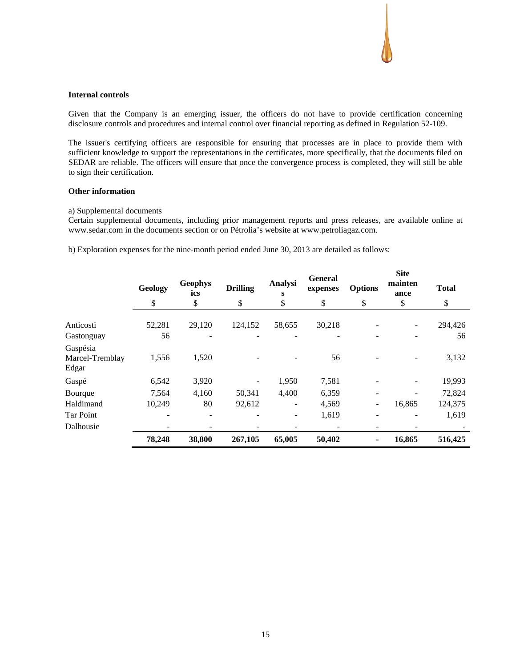# **Internal controls**

Given that the Company is an emerging issuer, the officers do not have to provide certification concerning disclosure controls and procedures and internal control over financial reporting as defined in Regulation 52-109.

The issuer's certifying officers are responsible for ensuring that processes are in place to provide them with sufficient knowledge to support the representations in the certificates, more specifically, that the documents filed on SEDAR are reliable. The officers will ensure that once the convergence process is completed, they will still be able to sign their certification.

#### **Other information**

#### a) Supplemental documents

Certain supplemental documents, including prior management reports and press releases, are available online at www.sedar.com in the documents section or on Pétrolia's website at www.petroliagaz.com.

b) Exploration expenses for the nine-month period ended June 30, 2013 are detailed as follows:

|                                      | Geology | <b>Geophys</b><br>ics | <b>Drilling</b> | <b>Analysi</b><br>S | <b>General</b><br>expenses | <b>Options</b> | <b>Site</b><br>mainten<br>ance | <b>Total</b> |
|--------------------------------------|---------|-----------------------|-----------------|---------------------|----------------------------|----------------|--------------------------------|--------------|
|                                      | \$      | \$                    | \$              | \$                  | \$                         | \$             | \$                             | \$           |
| Anticosti                            | 52,281  | 29,120                | 124,152         | 58,655              | 30,218                     |                |                                | 294,426      |
| Gastonguay                           | 56      |                       |                 |                     |                            |                |                                | 56           |
| Gaspésia<br>Marcel-Tremblay<br>Edgar | 1,556   | 1,520                 |                 |                     | 56                         |                |                                | 3,132        |
| Gaspé                                | 6,542   | 3,920                 |                 | 1,950               | 7,581                      |                |                                | 19,993       |
| Bourque                              | 7,564   | 4,160                 | 50,341          | 4,400               | 6,359                      |                |                                | 72,824       |
| Haldimand                            | 10,249  | 80                    | 92,612          |                     | 4,569                      |                | 16,865                         | 124,375      |
| Tar Point                            |         |                       |                 | $\overline{a}$      | 1,619                      |                |                                | 1,619        |
| Dalhousie                            |         |                       |                 |                     |                            |                |                                |              |
|                                      | 78,248  | 38,800                | 267,105         | 65,005              | 50,402                     | ٠              | 16,865                         | 516,425      |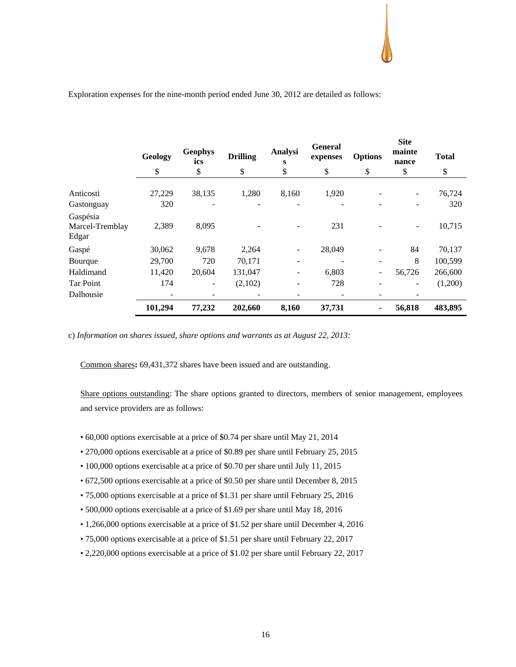|                                      | Geology          | <b>Geophys</b><br>ics | <b>Drilling</b>   | Analysi<br>s | <b>General</b><br>expenses | <b>Options</b>                    | <b>Site</b><br>mainte<br>nance             | <b>Total</b>       |
|--------------------------------------|------------------|-----------------------|-------------------|--------------|----------------------------|-----------------------------------|--------------------------------------------|--------------------|
|                                      | \$               | \$                    | \$                | \$           | \$                         | \$                                | \$                                         | \$                 |
| Anticosti<br>Gastonguay              | 27,229<br>320    | 38,135<br>۰           | 1,280             | 8,160        | 1,920                      | $\qquad \qquad -$                 | $\overline{\phantom{a}}$<br>$\overline{a}$ | 76,724<br>320      |
| Gaspésia<br>Marcel-Tremblay<br>Edgar | 2,389            | 8,095                 |                   |              | 231                        |                                   | $\overline{\phantom{a}}$                   | 10,715             |
| Gaspé                                | 30,062           | 9,678                 | 2,264             |              | 28,049                     | $\qquad \qquad \blacksquare$      | 84                                         | 70,137             |
| Bourque<br>Haldimand                 | 29,700<br>11,420 | 720<br>20,604         | 70,171<br>131,047 | -            | 6,803                      | $\qquad \qquad \blacksquare$<br>۰ | 8<br>56,726                                | 100,599<br>266,600 |
| <b>Tar Point</b>                     | 174              | ۰                     | (2,102)           |              | 728                        | $\qquad \qquad \blacksquare$      | ٠                                          | (1,200)            |
| Dalhousie                            | 101,294          | 77,232                | 202,660           | 8,160        | 37,731                     | $\blacksquare$                    | 56,818                                     | 483,895            |

#### Exploration expenses for the nine-month period ended June 30, 2012 are detailed as follows:

c) *Information on shares issued, share options and warrants as at August 22, 2013:*

Common shares**:** 69,431,372 shares have been issued and are outstanding.

Share options outstanding: The share options granted to directors, members of senior management, employees and service providers are as follows:

- 60,000 options exercisable at a price of \$0.74 per share until May 21, 2014
- 270,000 options exercisable at a price of \$0.89 per share until February 25, 2015
- 100,000 options exercisable at a price of \$0.70 per share until July 11, 2015
- 672,500 options exercisable at a price of \$0.50 per share until December 8, 2015
- 75,000 options exercisable at a price of \$1.31 per share until February 25, 2016
- 500,000 options exercisable at a price of \$1.69 per share until May 18, 2016
- 1,266,000 options exercisable at a price of \$1.52 per share until December 4, 2016
- 75,000 options exercisable at a price of \$1.51 per share until February 22, 2017
- 2,220,000 options exercisable at a price of \$1.02 per share until February 22, 2017